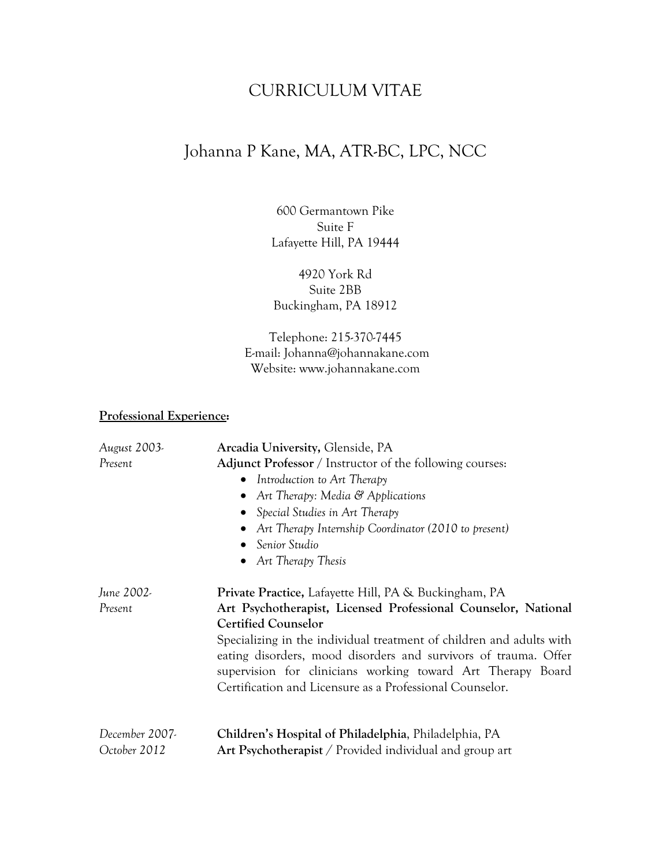## CURRICULUM VITAE

# Johanna P Kane, MA, ATR-BC, LPC, NCC

600 Germantown Pike Suite F Lafayette Hill, PA 19444

4920 York Rd Suite 2BB Buckingham, PA 18912

Telephone: 215-370-7445 E-mail: Johanna@johannakane.com Website: www.johannakane.com

#### **Professional Experience:**

| August 2003-   | Arcadia University, Glenside, PA                                     |
|----------------|----------------------------------------------------------------------|
| Present        | Adjunct Professor / Instructor of the following courses:             |
|                | Introduction to Art Therapy<br>$\bullet$                             |
|                | Art Therapy: Media $\mathcal{C}$ Applications                        |
|                | Special Studies in Art Therapy                                       |
|                | Art Therapy Internship Coordinator (2010 to present)                 |
|                | Senior Studio                                                        |
|                | • Art Therapy Thesis                                                 |
| June 2002-     | Private Practice, Lafayette Hill, PA & Buckingham, PA                |
| Present        | Art Psychotherapist, Licensed Professional Counselor, National       |
|                | <b>Certified Counselor</b>                                           |
|                | Specializing in the individual treatment of children and adults with |
|                | eating disorders, mood disorders and survivors of trauma. Offer      |
|                | supervision for clinicians working toward Art Therapy Board          |
|                | Certification and Licensure as a Professional Counselor.             |
|                |                                                                      |
| December 2007- | Children's Hospital of Philadelphia, Philadelphia, PA                |
| October 2012   | Art Psychotherapist / Provided individual and group art              |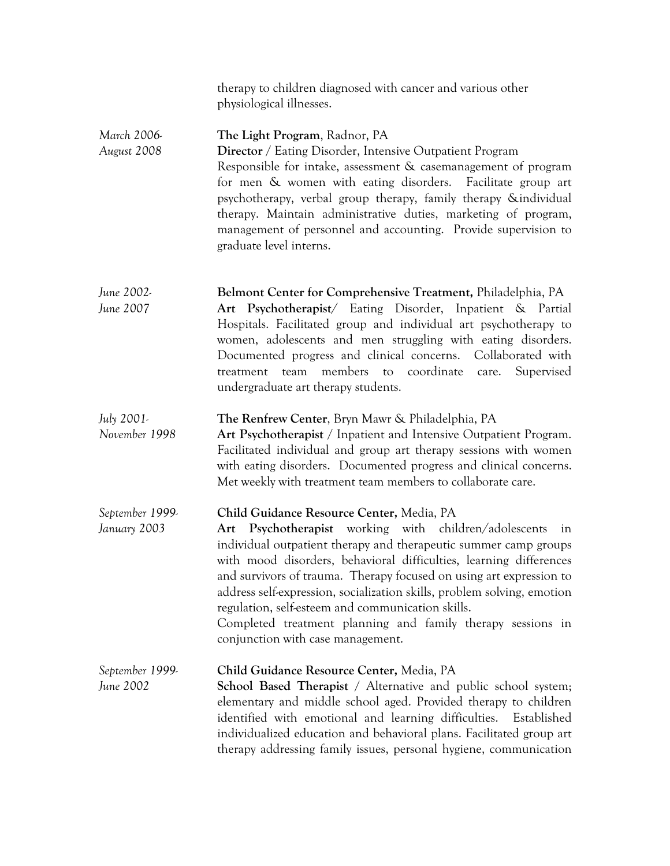|                                 | therapy to children diagnosed with cancer and various other<br>physiological illnesses.                                                                                                                                                                                                                                                                                                                                                                                                                                                                       |
|---------------------------------|---------------------------------------------------------------------------------------------------------------------------------------------------------------------------------------------------------------------------------------------------------------------------------------------------------------------------------------------------------------------------------------------------------------------------------------------------------------------------------------------------------------------------------------------------------------|
| March 2006-<br>August 2008      | The Light Program, Radnor, PA<br><b>Director</b> / Eating Disorder, Intensive Outpatient Program<br>Responsible for intake, assessment & casemanagement of program<br>for men & women with eating disorders. Facilitate group art<br>psychotherapy, verbal group therapy, family therapy &individual<br>therapy. Maintain administrative duties, marketing of program,<br>management of personnel and accounting. Provide supervision to<br>graduate level interns.                                                                                           |
| June 2002-<br>June 2007         | Belmont Center for Comprehensive Treatment, Philadelphia, PA<br>Art Psychotherapist/ Eating Disorder, Inpatient & Partial<br>Hospitals. Facilitated group and individual art psychotherapy to<br>women, adolescents and men struggling with eating disorders.<br>Documented progress and clinical concerns. Collaborated with<br>to coordinate<br>members<br>Supervised<br>team<br>care.<br>treatment<br>undergraduate art therapy students.                                                                                                                  |
| July 2001-<br>November 1998     | The Renfrew Center, Bryn Mawr & Philadelphia, PA<br>Art Psychotherapist / Inpatient and Intensive Outpatient Program.<br>Facilitated individual and group art therapy sessions with women<br>with eating disorders. Documented progress and clinical concerns.<br>Met weekly with treatment team members to collaborate care.                                                                                                                                                                                                                                 |
| September 1999.<br>January 2003 | Child Guidance Resource Center, Media, PA<br>Art Psychotherapist working with children/adolescents<br>in<br>individual outpatient therapy and therapeutic summer camp groups<br>with mood disorders, behavioral difficulties, learning differences<br>and survivors of trauma. Therapy focused on using art expression to<br>address self-expression, socialization skills, problem solving, emotion<br>regulation, self-esteem and communication skills.<br>Completed treatment planning and family therapy sessions in<br>conjunction with case management. |
| September 1999-<br>June 2002    | Child Guidance Resource Center, Media, PA<br>School Based Therapist / Alternative and public school system;<br>elementary and middle school aged. Provided therapy to children<br>identified with emotional and learning difficulties. Established<br>individualized education and behavioral plans. Facilitated group art<br>therapy addressing family issues, personal hygiene, communication                                                                                                                                                               |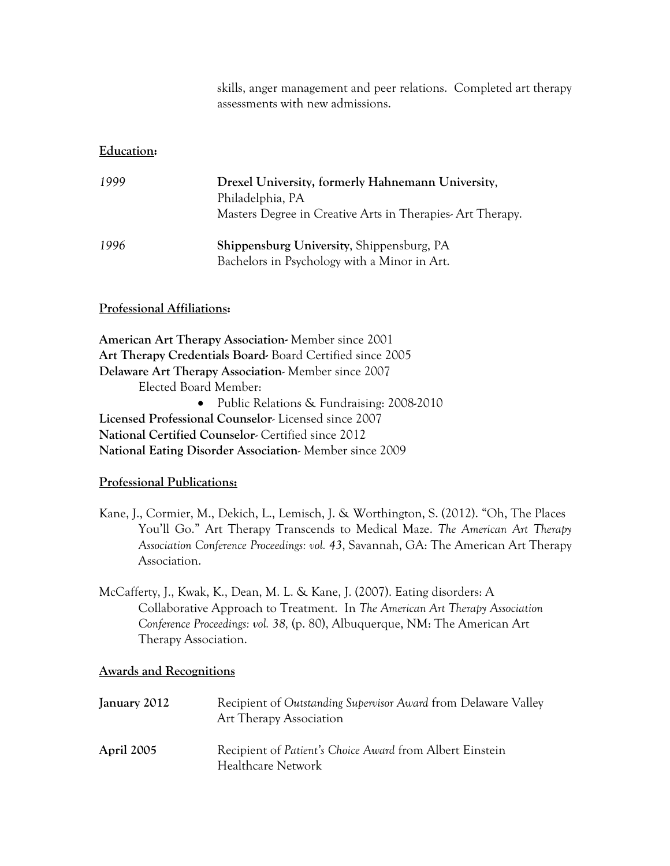skills, anger management and peer relations. Completed art therapy assessments with new admissions.

#### **Education:**

| 1999 | Drexel University, formerly Hahnemann University,<br>Philadelphia, PA<br>Masters Degree in Creative Arts in Therapies-Art Therapy. |
|------|------------------------------------------------------------------------------------------------------------------------------------|
| 1996 | <b>Shippensburg University, Shippensburg, PA</b><br>Bachelors in Psychology with a Minor in Art.                                   |

#### **Professional Affiliations:**

**American Art Therapy Association-** Member since 2001 **Art Therapy Credentials Board-** Board Certified since 2005 **Delaware Art Therapy Association**- Member since 2007 Elected Board Member: • Public Relations & Fundraising: 2008-2010 **Licensed Professional Counselor**- Licensed since 2007 **National Certified Counselor**- Certified since 2012 **National Eating Disorder Association**- Member since 2009

#### **Professional Publications:**

- Kane, J., Cormier, M., Dekich, L., Lemisch, J. & Worthington, S. (2012). "Oh, The Places You'll Go." Art Therapy Transcends to Medical Maze. *The American Art Therapy Association Conference Proceedings: vol. 43*, Savannah, GA: The American Art Therapy Association.
- McCafferty, J., Kwak, K., Dean, M. L. & Kane, J. (2007). Eating disorders: A Collaborative Approach to Treatment. In *The American Art Therapy Association Conference Proceedings: vol. 38,* (p. 80), Albuquerque, NM: The American Art Therapy Association.

#### **Awards and Recognitions**

| January 2012 | Recipient of Outstanding Supervisor Award from Delaware Valley<br>Art Therapy Association |
|--------------|-------------------------------------------------------------------------------------------|
| April 2005   | Recipient of Patient's Choice Award from Albert Einstein<br>Healthcare Network            |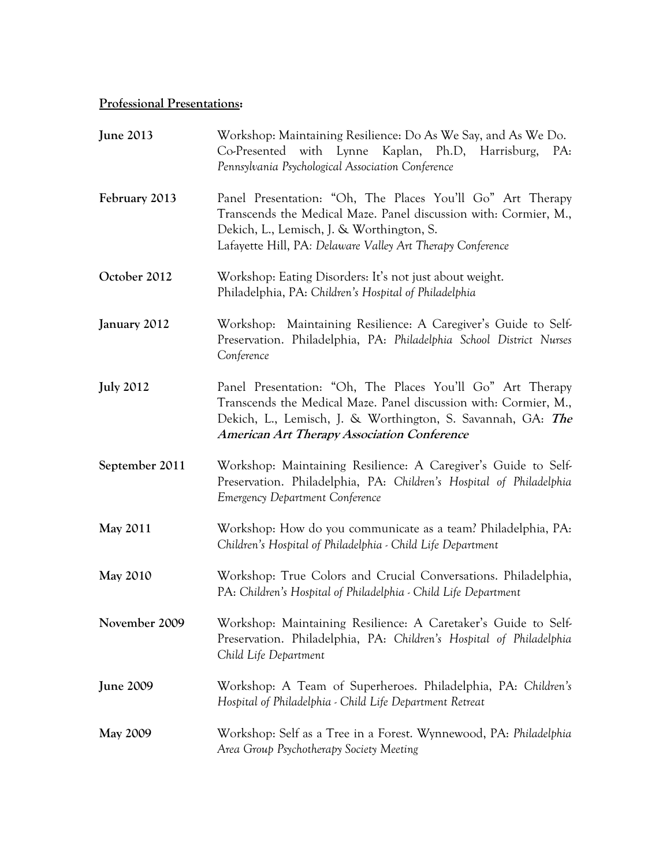## **Professional Presentations:**

| <b>June 2013</b> | Workshop: Maintaining Resilience: Do As We Say, and As We Do.<br>Co-Presented with Lynne Kaplan, Ph.D, Harrisburg,<br>PA:<br>Pennsylvania Psychological Association Conference                                                                      |
|------------------|-----------------------------------------------------------------------------------------------------------------------------------------------------------------------------------------------------------------------------------------------------|
| February 2013    | Panel Presentation: "Oh, The Places You'll Go" Art Therapy<br>Transcends the Medical Maze. Panel discussion with: Cormier, M.,<br>Dekich, L., Lemisch, J. & Worthington, S.<br>Lafayette Hill, PA: Delaware Valley Art Therapy Conference           |
| October 2012     | Workshop: Eating Disorders: It's not just about weight.<br>Philadelphia, PA: Children's Hospital of Philadelphia                                                                                                                                    |
| January 2012     | Workshop: Maintaining Resilience: A Caregiver's Guide to Self-<br>Preservation. Philadelphia, PA: Philadelphia School District Nurses<br>Conference                                                                                                 |
| <b>July 2012</b> | Panel Presentation: "Oh, The Places You'll Go" Art Therapy<br>Transcends the Medical Maze. Panel discussion with: Cormier, M.,<br>Dekich, L., Lemisch, J. & Worthington, S. Savannah, GA: The<br><b>American Art Therapy Association Conference</b> |
| September 2011   | Workshop: Maintaining Resilience: A Caregiver's Guide to Self-<br>Preservation. Philadelphia, PA: Children's Hospital of Philadelphia<br><b>Emergency Department Conference</b>                                                                     |
| <b>May 2011</b>  | Workshop: How do you communicate as a team? Philadelphia, PA:<br>Children's Hospital of Philadelphia - Child Life Department                                                                                                                        |
| <b>May 2010</b>  | Workshop: True Colors and Crucial Conversations. Philadelphia,<br>PA: Children's Hospital of Philadelphia - Child Life Department                                                                                                                   |
| November 2009    | Workshop: Maintaining Resilience: A Caretaker's Guide to Self-<br>Preservation. Philadelphia, PA: Children's Hospital of Philadelphia<br>Child Life Department                                                                                      |
| <b>June 2009</b> | Workshop: A Team of Superheroes. Philadelphia, PA: Children's<br>Hospital of Philadelphia - Child Life Department Retreat                                                                                                                           |
| <b>May 2009</b>  | Workshop: Self as a Tree in a Forest. Wynnewood, PA: Philadelphia<br>Area Group Psychotherapy Society Meeting                                                                                                                                       |